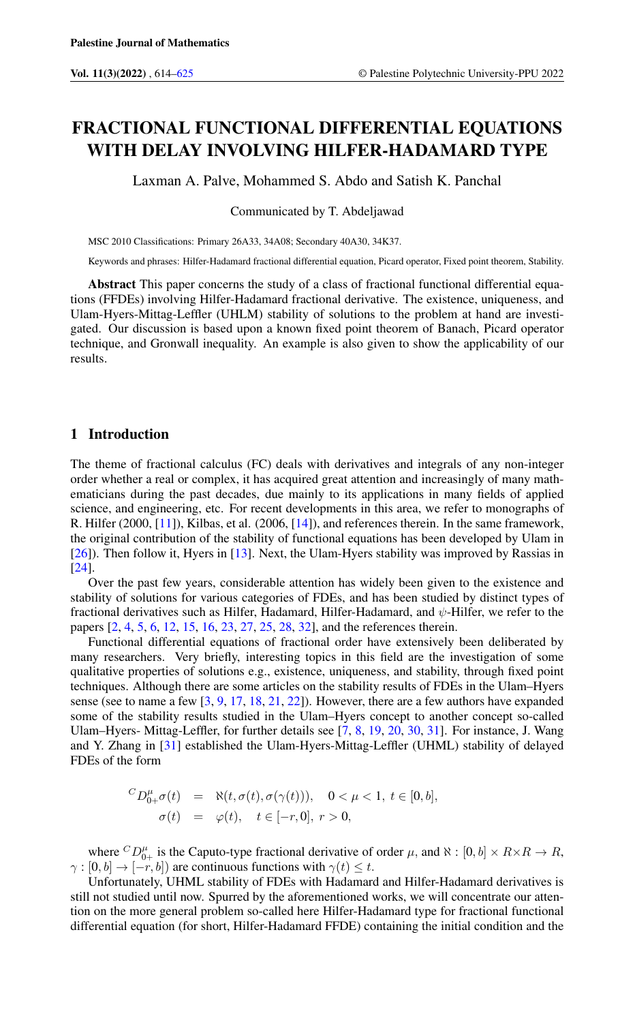# FRACTIONAL FUNCTIONAL DIFFERENTIAL EQUATIONS WITH DELAY INVOLVING HILFER-HADAMARD TYPE

Laxman A. Palve, Mohammed S. Abdo and Satish K. Panchal

Communicated by T. Abdeljawad

MSC 2010 Classifications: Primary 26A33, 34A08; Secondary 40A30, 34K37.

Keywords and phrases: Hilfer-Hadamard fractional differential equation, Picard operator, Fixed point theorem, Stability.

Abstract This paper concerns the study of a class of fractional functional differential equations (FFDEs) involving Hilfer-Hadamard fractional derivative. The existence, uniqueness, and Ulam-Hyers-Mittag-Leffler (UHLM) stability of solutions to the problem at hand are investigated. Our discussion is based upon a known fixed point theorem of Banach, Picard operator technique, and Gronwall inequality. An example is also given to show the applicability of our results.

## 1 Introduction

The theme of fractional calculus (FC) deals with derivatives and integrals of any non-integer order whether a real or complex, it has acquired great attention and increasingly of many mathematicians during the past decades, due mainly to its applications in many fields of applied science, and engineering, etc. For recent developments in this area, we refer to monographs of R. Hilfer (2000, [\[11\]](#page-10-1)), Kilbas, et al. (2006, [\[14\]](#page-10-2)), and references therein. In the same framework, the original contribution of the stability of functional equations has been developed by Ulam in [\[26\]](#page-11-0)). Then follow it, Hyers in [\[13\]](#page-10-3). Next, the Ulam-Hyers stability was improved by Rassias in [\[24\]](#page-11-1).

Over the past few years, considerable attention has widely been given to the existence and stability of solutions for various categories of FDEs, and has been studied by distinct types of fractional derivatives such as Hilfer, Hadamard, Hilfer-Hadamard, and  $\psi$ -Hilfer, we refer to the papers [\[2,](#page-10-4) [4,](#page-10-5) [5,](#page-10-6) [6,](#page-10-7) [12,](#page-10-8) [15,](#page-11-2) [16,](#page-11-3) [23,](#page-11-4) [27,](#page-11-5) [25,](#page-11-6) [28,](#page-11-7) [32\]](#page-11-8), and the references therein.

Functional differential equations of fractional order have extensively been deliberated by many researchers. Very briefly, interesting topics in this field are the investigation of some qualitative properties of solutions e.g., existence, uniqueness, and stability, through fixed point techniques. Although there are some articles on the stability results of FDEs in the Ulam–Hyers sense (see to name a few [\[3,](#page-10-9) [9,](#page-10-10) [17,](#page-11-9) [18,](#page-11-10) [21,](#page-11-11) [22\]](#page-11-12)). However, there are a few authors have expanded some of the stability results studied in the Ulam–Hyers concept to another concept so-called Ulam–Hyers- Mittag-Leffler, for further details see [\[7,](#page-10-11) [8,](#page-10-12) [19,](#page-11-13) [20,](#page-11-14) [30,](#page-11-15) [31\]](#page-11-16). For instance, J. Wang and Y. Zhang in [\[31\]](#page-11-16) established the Ulam-Hyers-Mittag-Leffler (UHML) stability of delayed FDEs of the form

$$
{}^{C}D_{0+}^{\mu}\sigma(t) = \aleph(t, \sigma(t), \sigma(\gamma(t))), \quad 0 < \mu < 1, \ t \in [0, b],
$$
  

$$
\sigma(t) = \varphi(t), \quad t \in [-r, 0], \ r > 0,
$$

where  ${}^CD_{0+}^\mu$  is the Caputo-type fractional derivative of order  $\mu$ , and  $\aleph : [0, b] \times R \times R \to R$ ,  $\gamma : [0, b] \to [-r, b]$  are continuous functions with  $\gamma(t) \leq t$ .

Unfortunately, UHML stability of FDEs with Hadamard and Hilfer-Hadamard derivatives is still not studied until now. Spurred by the aforementioned works, we will concentrate our attention on the more general problem so-called here Hilfer-Hadamard type for fractional functional differential equation (for short, Hilfer-Hadamard FFDE) containing the initial condition and the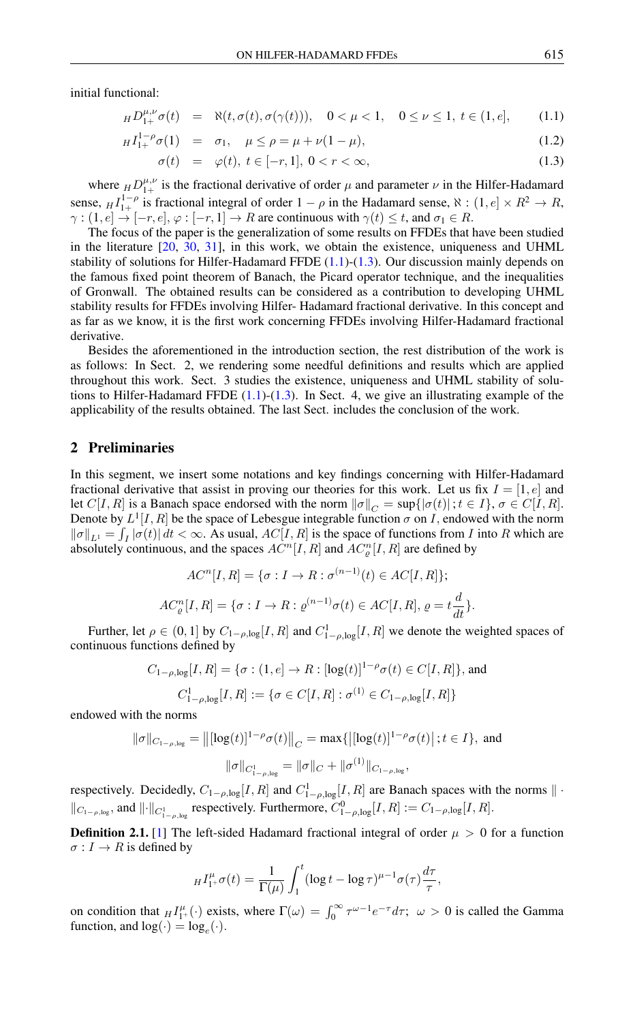initial functional:

<span id="page-1-0"></span>
$$
_H D_{1+}^{\mu,\nu} \sigma(t) = \aleph(t, \sigma(t), \sigma(\gamma(t))), \quad 0 < \mu < 1, \quad 0 \le \nu \le 1, \ t \in (1, e], \tag{1.1}
$$

$$
_{H}I_{1+}^{1-\rho}\sigma(1) = \sigma_{1}, \quad \mu \leq \rho = \mu + \nu(1-\mu), \tag{1.2}
$$

$$
\sigma(t) = \varphi(t), \ t \in [-r, 1], \ 0 < r < \infty,\tag{1.3}
$$

where  $_H D_{1+}^{\mu,\nu}$  is the fractional derivative of order  $\mu$  and parameter  $\nu$  in the Hilfer-Hadamard sense,  $_H I_{1+}^{1-\rho}$  is fractional integral of order  $1-\rho$  in the Hadamard sense,  $\aleph$  :  $(1, e] \times R^2 \rightarrow R$ ,  $\gamma$  :  $(1, e] \rightarrow [-r, e], \varphi$  :  $[-r, 1] \rightarrow R$  are continuous with  $\gamma(t) \leq t$ , and  $\sigma_1 \in R$ .

The focus of the paper is the generalization of some results on FFDEs that have been studied in the literature [\[20,](#page-11-14) [30,](#page-11-15) [31\]](#page-11-16), in this work, we obtain the existence, uniqueness and UHML stability of solutions for Hilfer-Hadamard FFDE  $(1.1)-(1.3)$  $(1.1)-(1.3)$  $(1.1)-(1.3)$ . Our discussion mainly depends on the famous fixed point theorem of Banach, the Picard operator technique, and the inequalities of Gronwall. The obtained results can be considered as a contribution to developing UHML stability results for FFDEs involving Hilfer- Hadamard fractional derivative. In this concept and as far as we know, it is the first work concerning FFDEs involving Hilfer-Hadamard fractional derivative.

Besides the aforementioned in the introduction section, the rest distribution of the work is as follows: In Sect. 2, we rendering some needful definitions and results which are applied throughout this work. Sect. 3 studies the existence, uniqueness and UHML stability of solutions to Hilfer-Hadamard FFDE  $(1.1)-(1.3)$  $(1.1)-(1.3)$  $(1.1)-(1.3)$ . In Sect. 4, we give an illustrating example of the applicability of the results obtained. The last Sect. includes the conclusion of the work.

### 2 Preliminaries

In this segment, we insert some notations and key findings concerning with Hilfer-Hadamard fractional derivative that assist in proving our theories for this work. Let us fix  $I = [1, e]$  and let  $C[I, R]$  is a Banach space endorsed with the norm  $\|\sigma\|_C = \sup\{|\sigma(t)|; t \in I\}, \sigma \in C[I, R]$ . Denote by  $L^1[I, R]$  be the space of Lebesgue integrable function  $\sigma$  on I, endowed with the norm  $\|\sigma\|_{L^1} = \int_I |\sigma(t)| dt < \infty$ . As usual,  $AC[I, R]$  is the space of functions from I into R which are absolutely continuous, and the spaces  $AC^{n}[I, R]$  and  $AC^{n}_{\varrho}[I, R]$  are defined by

$$
ACn[I, R] = \{ \sigma : I \to R : \sigma^{(n-1)}(t) \in AC[I, R] \};
$$
  

$$
ACn\varrho[I, R] = \{ \sigma : I \to R : \varrho^{(n-1)}\sigma(t) \in AC[I, R], \varrho = t\frac{d}{dt} \}.
$$

Further, let  $\rho \in (0,1]$  by  $C_{1-\rho,\log}[I,R]$  and  $C_{1-\rho,\log}^1[I,R]$  we denote the weighted spaces of continuous functions defined by

$$
C_{1-\rho,\log}[I,R] = \{ \sigma : (1,e] \to R : [\log(t)]^{1-\rho} \sigma(t) \in C[I,R] \},\text{ and}
$$
  

$$
C_{1-\rho,\log}^1[I,R] := \{ \sigma \in C[I,R] : \sigma^{(1)} \in C_{1-\rho,\log}[I,R] \}
$$

endowed with the norms

$$
\|\sigma\|_{C_{1-\rho,\log}} = \left\| [\log(t)]^{1-\rho} \sigma(t) \right\|_{C} = \max \{ \left| [\log(t)]^{1-\rho} \sigma(t) \right|; t \in I \}, \text{ and}
$$

$$
\|\sigma\|_{C_{1-\rho,\log}^{1}} = \|\sigma\|_{C} + \|\sigma^{(1)}\|_{C_{1-\rho,\log}},
$$

respectively. Decidedly,  $C_{1-\rho,\log}[I,R]$  and  $C_{1-\rho,\log}^1[I,R]$  are Banach spaces with the norms  $\|\cdot\|$  $||c_{1-\rho,\log}$ , and  $|| \cdot ||_{C^1_{1-\rho,\log}}$  respectively. Furthermore,  $C^0_{1-\rho,\log}[I,R] := C_{1-\rho,\log}[I,R]$ .

**Definition 2.1.** [\[1\]](#page-10-13) The left-sided Hadamard fractional integral of order  $\mu > 0$  for a function  $\sigma: I \to R$  is defined by

$$
H_{1+}^{\mu} \sigma(t) = \frac{1}{\Gamma(\mu)} \int_1^t (\log t - \log \tau)^{\mu-1} \sigma(\tau) \frac{d\tau}{\tau},
$$

on condition that  $_{H}I_{1+}^{\mu}(\cdot)$  exists, where  $\Gamma(\omega) = \int_{0}^{\infty} \tau^{\omega-1} e^{-\tau} d\tau$ ;  $\omega > 0$  is called the Gamma function, and  $log(\cdot) = log_e(\cdot)$ .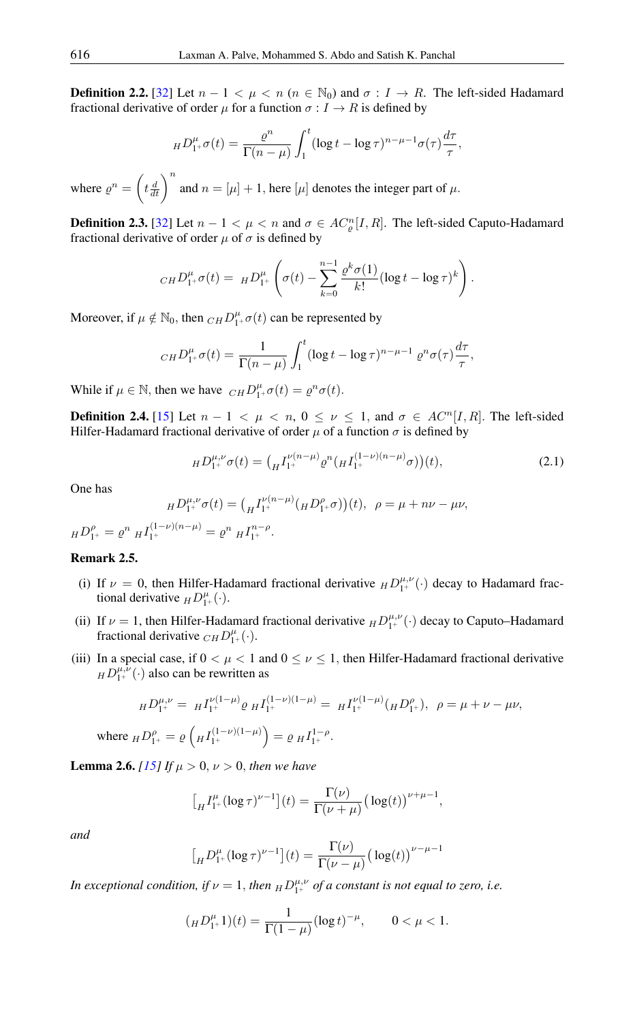**Definition 2.2.** [\[32\]](#page-11-8) Let  $n - 1 < \mu < n$  ( $n \in \mathbb{N}_0$ ) and  $\sigma : I \to R$ . The left-sided Hadamard fractional derivative of order  $\mu$  for a function  $\sigma: I \to R$  is defined by

$$
_HD_{1^+}^{\mu}\sigma(t)=\frac{\varrho^n}{\Gamma(n-\mu)}\int_1^t(\log t-\log\tau)^{n-\mu-1}\sigma(\tau)\frac{d\tau}{\tau},
$$

where  $\rho^n = \left(t \frac{d}{dt}\right)^n$  and  $n = [\mu] + 1$ , here  $[\mu]$  denotes the integer part of  $\mu$ .

**Definition 2.3.** [\[32\]](#page-11-8) Let  $n - 1 < \mu < n$  and  $\sigma \in AC_{\varrho}^{n}[I, R]$ . The left-sided Caputo-Hadamard fractional derivative of order  $\mu$  of  $\sigma$  is defined by

$$
_{CH}D_{1^{+}}^{\mu}\sigma(t) = H D_{1^{+}}^{\mu}\left(\sigma(t) - \sum_{k=0}^{n-1} \frac{\varrho^{k}\sigma(1)}{k!} (\log t - \log \tau)^{k}\right).
$$

Moreover, if  $\mu \notin \mathbb{N}_0$ , then  $_{CH}D_{1+}^{\mu}\sigma(t)$  can be represented by

$$
_{CH}D_{1+}^{\mu}\sigma(t)=\frac{1}{\Gamma(n-\mu)}\int_{1}^{t}(\log t-\log\tau)^{n-\mu-1}e^{n}\sigma(\tau)\frac{d\tau}{\tau},
$$

While if  $\mu \in \mathbb{N}$ , then we have  $_{CH}D_{1+}^{\mu}\sigma(t) = \varrho^{n}\sigma(t)$ .

**Definition 2.4.** [\[15\]](#page-11-2) Let  $n - 1 < \mu < n$ ,  $0 \le \nu \le 1$ , and  $\sigma \in AC^n[I, R]$ . The left-sided Hilfer-Hadamard fractional derivative of order  $\mu$  of a function  $\sigma$  is defined by

$$
{}_H D_{1^+}^{\mu,\nu} \sigma(t) = \left( {}_H I_{1^+}^{\nu(n-\mu)} \varrho^n \left( {}_H I_{1^+}^{(1-\nu)(n-\mu)} \sigma \right) \right)(t), \tag{2.1}
$$

One has

$$
H D_{1^+}^{\mu,\nu} \sigma(t) = \left( H_{1^+}^{(\nu(n-\mu)} (H D_{1^+}^{\rho} \sigma)) (t), \ \rho = \mu + n\nu - \mu\nu,
$$

$$
H D_{1^+}^\rho = \varrho^n \, H_{1^+}^{(1-\nu)(n-\mu)} = \varrho^n \, H_{1^+}^{n-\rho}.
$$

#### Remark 2.5.

wher

- (i) If  $\nu = 0$ , then Hilfer-Hadamard fractional derivative  $_H D_{1+}^{\mu,\nu}(\cdot)$  decay to Hadamard fractional derivative  $_HD_{1^+}^{\mu}(\cdot)$ .
- (ii) If  $\nu = 1$ , then Hilfer-Hadamard fractional derivative  $_H D_{1+}^{\mu,\nu}(\cdot)$  decay to Caputo–Hadamard fractional derivative  $_{CH}D_{1+}^{\mu}(\cdot)$ .
- (iii) In a special case, if  $0 < \mu < 1$  and  $0 \le \nu \le 1$ , then Hilfer-Hadamard fractional derivative  $HD^{\mu,\nu}_{1+}(\cdot)$  also can be rewritten as

$$
{}_H D_{1^+}^{\mu,\nu} = {}_H I_{1^+}^{\nu(1-\mu)} \varrho {}_H I_{1^+}^{(1-\nu)(1-\mu)} = {}_H I_{1^+}^{\nu(1-\mu)} ({}_H D_{1^+}^\rho), \ \ \rho = \mu + \nu - \mu \nu,
$$
  
we 
$$
{}_H D_{1^+}^\rho = \varrho \left( {}_H I_{1^+}^{(1-\nu)(1-\mu)} \right) = \varrho {}_H I_{1^+}^{1-\rho}.
$$

**Lemma 2.6.** *[\[15\]](#page-11-2) If*  $\mu > 0$ ,  $\nu > 0$ , *then we have* 

$$
\left[\n\prod_{H} I_{1^+}^{\mu} (\log \tau)^{\nu-1}\right](t) = \frac{\Gamma(\nu)}{\Gamma(\nu+\mu)} \left(\log(t)\right)^{\nu+\mu-1},
$$

*and*

$$
\left[\mathrm{d}\,D_{1^+}^{\mu}(\log \tau)^{\nu-1}\right](t) = \frac{\Gamma(\nu)}{\Gamma(\nu-\mu)}\big(\log(t)\big)^{\nu-\mu-1}
$$

*In exceptional condition, if*  $\nu = 1$ *, then*  $_HD_{1^+}^{\mu,\nu}$  *of a constant is not equal to zero, i.e.* 

$$
({}_HD_1^{\mu}1)(t) = \frac{1}{\Gamma(1-\mu)}(\log t)^{-\mu}, \qquad 0 < \mu < 1.
$$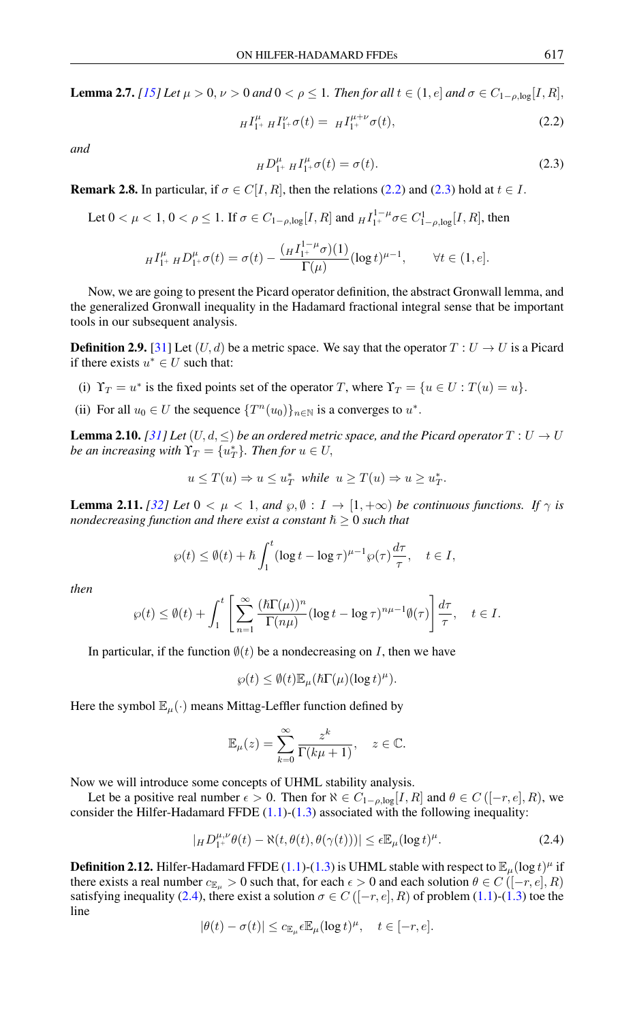**Lemma 2.7.** *[\[15\]](#page-11-2)* Let  $\mu > 0$ ,  $\nu > 0$  and  $0 < \rho \le 1$ . Then for all  $t \in (1, e]$  and  $\sigma \in C_{1-\rho, \log}[I, R]$ ,

$$
H_{1+}^{ \mu} H_{1+}^{ \nu} \sigma(t) = H_{1+}^{ \mu+\nu} \sigma(t), \qquad (2.2)
$$

<span id="page-3-1"></span>*and*

<span id="page-3-0"></span>
$$
_H D_{1^+}^{\mu} H_{1^+}^{\mu} \sigma(t) = \sigma(t). \tag{2.3}
$$

<span id="page-3-3"></span>**Remark 2.8.** In particular, if  $\sigma \in C[I, R]$ , then the relations [\(2.2\)](#page-3-0) and [\(2.3\)](#page-3-1) hold at  $t \in I$ .

Let 
$$
0 < \mu < 1
$$
,  $0 < \rho \le 1$ . If  $\sigma \in C_{1-\rho,\log}[I, R]$  and  ${}_H I_{1^+}^{1-\mu} \sigma \in C_{1-\rho,\log}^1[I, R]$ , then

$$
H_{1^+}^{\mu} H_{1^+}^{\mu} \sigma(t) = \sigma(t) - \frac{\left(H_{1^+}^{1-\mu} \sigma\right)(1)}{\Gamma(\mu)} (\log t)^{\mu-1}, \qquad \forall t \in (1, e].
$$

Now, we are going to present the Picard operator definition, the abstract Gronwall lemma, and the generalized Gronwall inequality in the Hadamard fractional integral sense that be important tools in our subsequent analysis.

**Definition 2.9.** [\[31\]](#page-11-16) Let  $(U, d)$  be a metric space. We say that the operator  $T: U \to U$  is a Picard if there exists  $u^* \in U$  such that:

- (i)  $\Upsilon_T = u^*$  is the fixed points set of the operator T, where  $\Upsilon_T = \{u \in U : T(u) = u\}.$
- (ii) For all  $u_0 \in U$  the sequence  $\{T^n(u_0)\}_{n \in \mathbb{N}}$  is a converges to  $u^*$ .

<span id="page-3-5"></span>**Lemma 2.10.** *[\[31\]](#page-11-16)* Let  $(U, d, \leq)$  be an ordered metric space, and the Picard operator  $T: U \rightarrow U$ *be an increasing with*  $\Upsilon_T = \{u_T^*\}$ *. Then for*  $u \in U$ ,

$$
u \le T(u) \Rightarrow u \le u_T^* \text{ while } u \ge T(u) \Rightarrow u \ge u_T^*.
$$

<span id="page-3-4"></span>**Lemma 2.11.** *[\[32\]](#page-11-8) Let*  $0 < \mu < 1$ *, and*  $\wp, \emptyset : I \to [1, +\infty)$  *be continuous functions. If*  $\gamma$  *is nondecreasing function and there exist a constant*  $\hbar > 0$  *such that* 

$$
\wp(t) \le \emptyset(t) + \hbar \int_1^t (\log t - \log \tau)^{\mu - 1} \wp(\tau) \frac{d\tau}{\tau}, \quad t \in I,
$$

*then*

$$
\wp(t) \leq \emptyset(t) + \int_1^t \left[ \sum_{n=1}^\infty \frac{(\hbar \Gamma(\mu))^n}{\Gamma(n\mu)} (\log t - \log \tau)^{n\mu - 1} \emptyset(\tau) \right] \frac{d\tau}{\tau}, \quad t \in I.
$$

In particular, if the function  $\emptyset(t)$  be a nondecreasing on I, then we have

$$
\wp(t) \leq \emptyset(t) \mathbb{E}_{\mu}(\hbar \Gamma(\mu) (\log t)^{\mu}).
$$

Here the symbol  $\mathbb{E}_{\mu}(\cdot)$  means Mittag-Leffler function defined by

<span id="page-3-2"></span>
$$
\mathbb{E}_{\mu}(z) = \sum_{k=0}^{\infty} \frac{z^k}{\Gamma(k\mu + 1)}, \quad z \in \mathbb{C}.
$$

Now we will introduce some concepts of UHML stability analysis.

Let be a positive real number  $\epsilon > 0$ . Then for  $\aleph \in C_{1-\rho,\log}[I,R]$  and  $\theta \in C([-r,e],R)$ , we consider the Hilfer-Hadamard FFDE  $(1.1)-(1.3)$  $(1.1)-(1.3)$  $(1.1)-(1.3)$  associated with the following inequality:

$$
|H D_{1^+}^{\mu,\nu} \theta(t) - \aleph(t, \theta(t), \theta(\gamma(t)))| \le \epsilon \mathbb{E}_{\mu} (\log t)^{\mu}.
$$
 (2.4)

**Definition 2.12.** Hilfer-Hadamard FFDE [\(1.1\)](#page-1-0)-[\(1.3\)](#page-1-0) is UHML stable with respect to  $\mathbb{E}_{\mu}(\log t)^{\mu}$  if there exists a real number  $c_{\mathbb{E}_u} > 0$  such that, for each  $\epsilon > 0$  and each solution  $\theta \in C([-r, e], R)$ satisfying inequality [\(2.4\)](#page-3-2), there exist a solution  $\sigma \in C([-r, e], R)$  of problem [\(1.1\)](#page-1-0)-[\(1.3\)](#page-1-0) toe the line

$$
|\theta(t) - \sigma(t)| \leq c_{\mathbb{E}_{\mu}} \epsilon \mathbb{E}_{\mu} (\log t)^{\mu}, \quad t \in [-r, e].
$$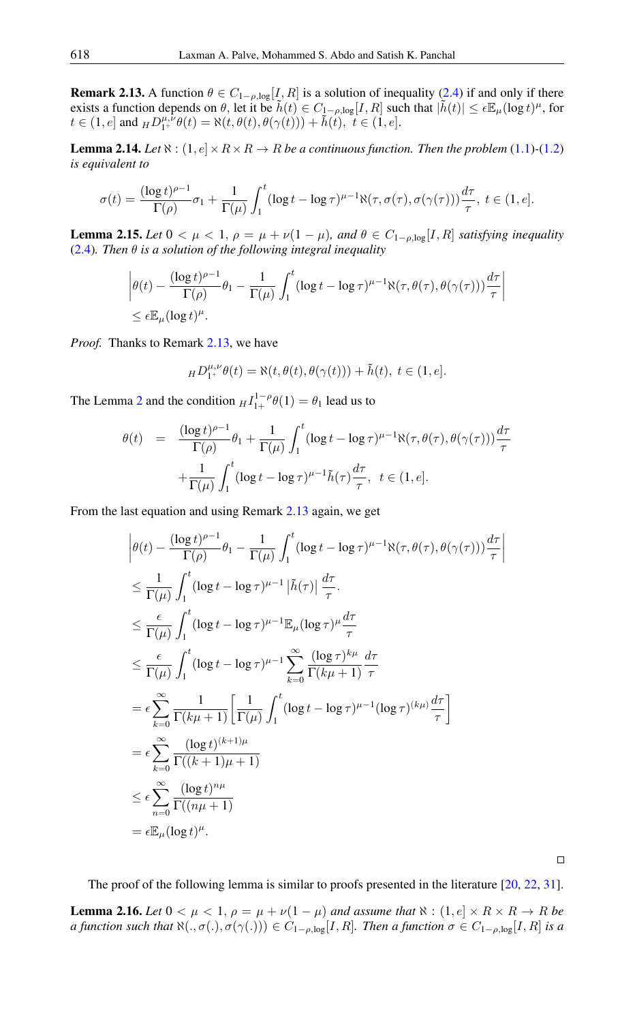<span id="page-4-0"></span>**Remark 2.13.** A function  $\theta \in C_{1-\rho,\log}[I,R]$  is a solution of inequality [\(2.4\)](#page-3-2) if and only if there exists a function depends on  $\theta$ , let it be  $\tilde{h}(t) \in C_{1-\rho,\log}[I,R]$  such that  $|\tilde{h}(t)| \leq \epsilon \mathbb{E}_{\mu}(\log t)^{\mu}$ , for  $t \in (1, e]$  and  $_H D_{1^+}^{\mu, \nu} \theta(t) = \aleph(t, \theta(t), \theta(\gamma(t))) + \tilde{h}(t), t \in (1, e].$ 

**Lemma 2.14.** *Let*  $\aleph$  :  $(1, e] \times R \times R \rightarrow R$  *be a continuous function. Then the problem* [\(1.1\)](#page-1-0)-[\(1.2\)](#page-1-0) *is equivalent to*

$$
\sigma(t) = \frac{(\log t)^{\rho-1}}{\Gamma(\rho)} \sigma_1 + \frac{1}{\Gamma(\mu)} \int_1^t (\log t - \log \tau)^{\mu-1} \aleph(\tau, \sigma(\tau), \sigma(\gamma(\tau))) \frac{d\tau}{\tau}, \ t \in (1, e].
$$

<span id="page-4-2"></span>**Lemma 2.15.** Let  $0 < \mu < 1$ ,  $\rho = \mu + \nu(1 - \mu)$ , and  $\theta \in C_{1-\rho,\log}[I,R]$  satisfying inequality [\(2.4\)](#page-3-2)*. Then* θ *is a solution of the following integral inequality*

$$
\left| \theta(t) - \frac{(\log t)^{\rho - 1}}{\Gamma(\rho)} \theta_1 - \frac{1}{\Gamma(\mu)} \int_1^t (\log t - \log \tau)^{\mu - 1} \aleph(\tau, \theta(\tau), \theta(\gamma(\tau))) \frac{d\tau}{\tau} \right|
$$
  

$$
\leq \epsilon \mathbb{E}_{\mu} (\log t)^{\mu}.
$$

*Proof.* Thanks to Remark [2.13,](#page-4-0) we have

$$
H D_{1^+}^{\mu,\nu} \theta(t) = \aleph(t, \theta(t), \theta(\gamma(t))) + \tilde{h}(t), \ t \in (1, e].
$$

The Lemma [2](#page-3-3) and the condition  $_H I_{1+}^{1-\rho} \theta(1) = \theta_1$  lead us to

$$
\theta(t) = \frac{(\log t)^{\rho-1}}{\Gamma(\rho)} \theta_1 + \frac{1}{\Gamma(\mu)} \int_1^t (\log t - \log \tau)^{\mu-1} \aleph(\tau, \theta(\tau), \theta(\gamma(\tau))) \frac{d\tau}{\tau}
$$

$$
+ \frac{1}{\Gamma(\mu)} \int_1^t (\log t - \log \tau)^{\mu-1} \tilde{h}(\tau) \frac{d\tau}{\tau}, \ t \in (1, e].
$$

From the last equation and using Remark [2.13](#page-4-0) again, we get

$$
\begin{split}\n&\left|\theta(t) - \frac{(\log t)^{\rho - 1}}{\Gamma(\rho)} \theta_1 - \frac{1}{\Gamma(\mu)} \int_1^t (\log t - \log \tau)^{\mu - 1} \aleph(\tau, \theta(\tau), \theta(\gamma(\tau))) \frac{d\tau}{\tau}\right| \\
&\leq \frac{1}{\Gamma(\mu)} \int_1^t (\log t - \log \tau)^{\mu - 1} |\tilde{h}(\tau)| \frac{d\tau}{\tau} \\
&\leq \frac{\epsilon}{\Gamma(\mu)} \int_1^t (\log t - \log \tau)^{\mu - 1} \mathbb{E}_{\mu} (\log \tau)^{\mu} \frac{d\tau}{\tau} \\
&\leq \frac{\epsilon}{\Gamma(\mu)} \int_1^t (\log t - \log \tau)^{\mu - 1} \sum_{k=0}^\infty \frac{(\log \tau)^{k\mu}}{\Gamma(k\mu + 1)} \frac{d\tau}{\tau} \\
&= \epsilon \sum_{k=0}^\infty \frac{1}{\Gamma(k\mu + 1)} \left[ \frac{1}{\Gamma(\mu)} \int_1^t (\log t - \log \tau)^{\mu - 1} (\log \tau)^{(k\mu)} \frac{d\tau}{\tau} \right] \\
&= \epsilon \sum_{k=0}^\infty \frac{(\log t)^{(k+1)\mu}}{\Gamma((k+1)\mu + 1)} \\
&\leq \epsilon \sum_{n=0}^\infty \frac{(\log t)^{n\mu}}{\Gamma((n\mu + 1)} \\
&= \epsilon \mathbb{E}_{\mu} (\log t)^n.\n\end{split}
$$

 $\Box$ 

The proof of the following lemma is similar to proofs presented in the literature [\[20,](#page-11-14) [22,](#page-11-12) [31\]](#page-11-16).

<span id="page-4-1"></span>**Lemma 2.16.** Let  $0 < \mu < 1$ ,  $\rho = \mu + \nu(1 - \mu)$  and assume that  $\aleph : (1, e] \times R \times R \rightarrow R$  be *a function such that*  $\aleph(.,\sigma(.),\sigma(γ(.))) \in C_{1-\rho,log}[I,R]$ *. Then a function*  $\sigma \in C_{1-\rho,log}[I,R]$  *is a*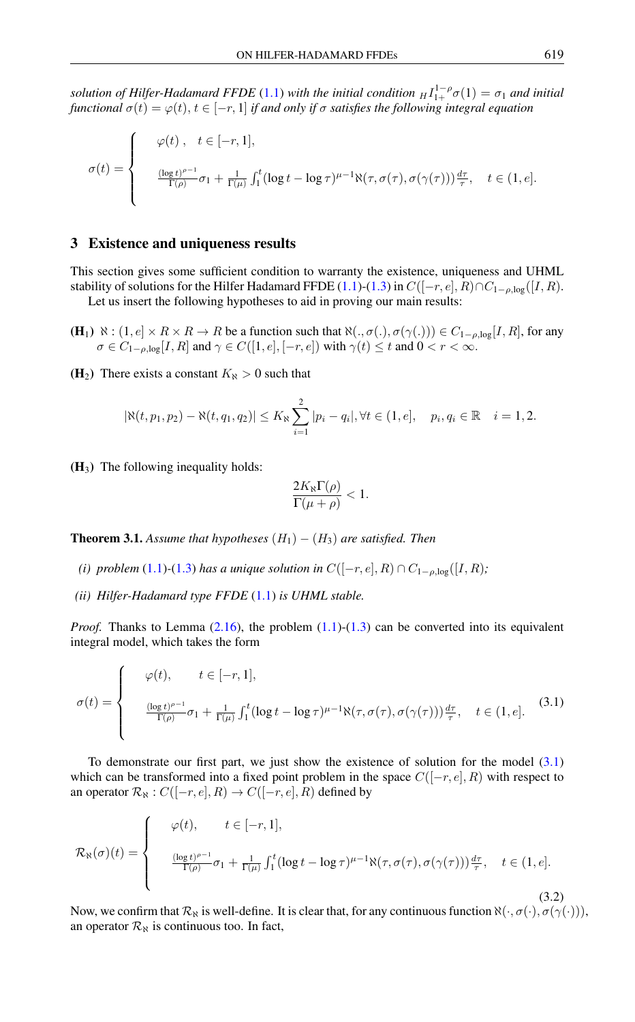*solution of Hilfer-Hadamard FFDE* [\(1.1\)](#page-1-0) *with the initial condition*  $_H I_{1+}^{1-\rho} \sigma(1) = \sigma_1$  *and initial functional*  $\sigma(t) = \varphi(t), t \in [-r, 1]$  *if and only if*  $\sigma$  *satisfies the following integral equation* 

$$
\sigma(t) = \begin{cases}\n\varphi(t), & t \in [-r, 1], \\
\frac{(\log t)^{\rho - 1}}{\Gamma(\rho)} \sigma_1 + \frac{1}{\Gamma(\mu)} \int_1^t (\log t - \log \tau)^{\mu - 1} \aleph(\tau, \sigma(\tau), \sigma(\gamma(\tau))) \frac{d\tau}{\tau}, & t \in (1, e].\n\end{cases}
$$

#### 3 Existence and uniqueness results

This section gives some sufficient condition to warranty the existence, uniqueness and UHML stability of solutions for the Hilfer Hadamard FFDE [\(1.1\)](#page-1-0)-[\(1.3\)](#page-1-0) in  $C([-r, e], R) \cap C_{1-\rho, \log}([I, R)$ .

Let us insert the following hypotheses to aid in proving our main results:

- $(H_1) \aleph : (1, e] \times R \times R \rightarrow R$  be a function such that  $\aleph(., \sigma(.), \sigma(γ(.))) \in C_{1-\rho, \log}[I, R]$ , for any  $\sigma \in C_{1-\rho,\log}[I,R]$  and  $\gamma \in C([1,e], [-r,e])$  with  $\gamma(t) \leq t$  and  $0 < r < \infty$ .
- (H<sub>2</sub>) There exists a constant  $K_N > 0$  such that

$$
|\aleph(t, p_1, p_2) - \aleph(t, q_1, q_2)| \le K_{\aleph} \sum_{i=1}^2 |p_i - q_i|, \forall t \in (1, e], \quad p_i, q_i \in \mathbb{R} \quad i = 1, 2.
$$

 $(H_3)$  The following inequality holds:

<span id="page-5-0"></span>
$$
\frac{2K_{\aleph}\Gamma(\rho)}{\Gamma(\mu+\rho)}<1.
$$

<span id="page-5-2"></span>**Theorem 3.1.** *Assume that hypotheses*  $(H_1) - (H_3)$  *are satisfied. Then* 

- *(i) problem* [\(1.1\)](#page-1-0) $\text{-}(1.3)$  $\text{-}(1.3)$  *has a unique solution in*  $C([-r, e], R) \cap C_{1-\rho, \log}([I, R);$
- *(ii) Hilfer-Hadamard type FFDE* [\(1.1\)](#page-1-0) *is UHML stable.*

*Proof.* Thanks to Lemma  $(2.16)$ , the problem  $(1.1)-(1.3)$  $(1.1)-(1.3)$  $(1.1)-(1.3)$  can be converted into its equivalent integral model, which takes the form

$$
\sigma(t) = \begin{cases}\n\varphi(t), & t \in [-r, 1], \\
\frac{(\log t)^{\rho - 1}}{\Gamma(\rho)} \sigma_1 + \frac{1}{\Gamma(\mu)} \int_1^t (\log t - \log \tau)^{\mu - 1} \aleph(\tau, \sigma(\tau), \sigma(\gamma(\tau))) \frac{d\tau}{\tau}, & t \in (1, e].\n\end{cases}
$$
\n(3.1)

To demonstrate our first part, we just show the existence of solution for the model [\(3.1\)](#page-5-0) which can be transformed into a fixed point problem in the space  $C([-r, e], R)$  with respect to an operator  $\mathcal{R}_{\aleph}$  :  $C([-r, e], R) \rightarrow C([-r, e], R)$  defined by

<span id="page-5-1"></span>
$$
\mathcal{R}_{\aleph}(\sigma)(t) = \begin{cases}\n\varphi(t), & t \in [-r, 1], \\
\frac{(\log t)^{\rho - 1}}{\Gamma(\rho)} \sigma_1 + \frac{1}{\Gamma(\mu)} \int_1^t (\log t - \log \tau)^{\mu - 1} \aleph(\tau, \sigma(\tau), \sigma(\gamma(\tau))) \frac{d\tau}{\tau}, & t \in (1, e].\n\end{cases}
$$
\n(3.2)

Now, we confirm that  $\mathcal{R}_{\aleph}$  is well-define. It is clear that, for any continuous function  $\aleph(\cdot, \sigma(\cdot), \sigma(\gamma(\cdot)))$ , an operator  $\mathcal{R}_{\aleph}$  is continuous too. In fact,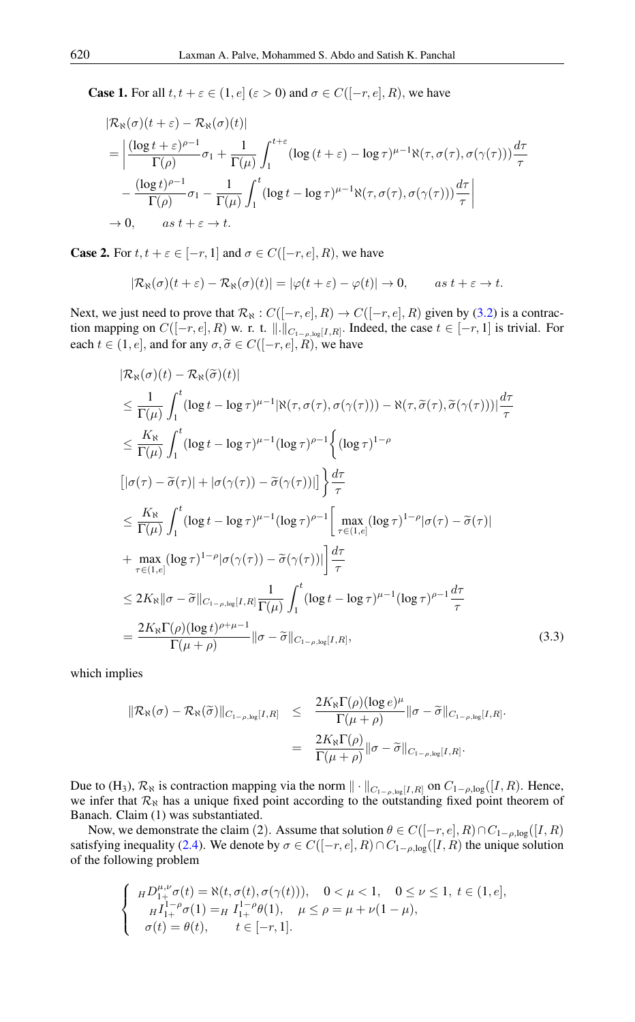**Case 1.** For all  $t, t + \varepsilon \in (1, e]$  ( $\varepsilon > 0$ ) and  $\sigma \in C([-r, e], R)$ , we have

$$
\begin{split} &|\mathcal{R}_{\aleph}(\sigma)(t+\varepsilon)-\mathcal{R}_{\aleph}(\sigma)(t)| \\ &=\left|\frac{(\log t+\varepsilon)^{\rho-1}}{\Gamma(\rho)}\sigma_1+\frac{1}{\Gamma(\mu)}\int_1^{t+\varepsilon}(\log(t+\varepsilon)-\log\tau)^{\mu-1}\aleph(\tau,\sigma(\tau),\sigma(\gamma(\tau)))\frac{d\tau}{\tau}\right| \\ &-\frac{(\log t)^{\rho-1}}{\Gamma(\rho)}\sigma_1-\frac{1}{\Gamma(\mu)}\int_1^t(\log t-\log\tau)^{\mu-1}\aleph(\tau,\sigma(\tau),\sigma(\gamma(\tau)))\frac{d\tau}{\tau}\right| \\ &\to 0, \qquad as \ t+\varepsilon \to t. \end{split}
$$

**Case 2.** For  $t, t + \varepsilon \in [-r, 1]$  and  $\sigma \in C([-r, e], R)$ , we have

$$
|\mathcal{R}_{\aleph}(\sigma)(t+\varepsilon)-\mathcal{R}_{\aleph}(\sigma)(t)|=|\varphi(t+\varepsilon)-\varphi(t)|\to 0, \qquad as \ t+\varepsilon\to t.
$$

Next, we just need to prove that  $\mathcal{R}_{\aleph}: C([-r, e], R) \to C([-r, e], R)$  given by [\(3.2\)](#page-5-1) is a contraction mapping on  $C([-r, e], R)$  w. r. t.  $\|.\|_{C_{1-\rho, \log}[I, R]}$ . Indeed, the case  $t \in [-r, 1]$  is trivial. For each  $t \in (1, e]$ , and for any  $\sigma, \tilde{\sigma} \in C([-r, e], R)$ , we have

$$
|\mathcal{R}_{\aleph}(\sigma)(t) - \mathcal{R}_{\aleph}(\tilde{\sigma})(t)|
$$
  
\n
$$
\leq \frac{1}{\Gamma(\mu)} \int_{1}^{t} (\log t - \log \tau)^{\mu-1} |\aleph(\tau, \sigma(\tau), \sigma(\gamma(\tau))) - \aleph(\tau, \tilde{\sigma}(\tau), \tilde{\sigma}(\gamma(\tau)))| \frac{d\tau}{\tau}
$$
  
\n
$$
\leq \frac{K_{\aleph}}{\Gamma(\mu)} \int_{1}^{t} (\log t - \log \tau)^{\mu-1} (\log \tau)^{\rho-1} \left\{ (\log \tau)^{1-\rho} \right\}
$$
  
\n
$$
[|\sigma(\tau) - \tilde{\sigma}(\tau)| + |\sigma(\gamma(\tau)) - \tilde{\sigma}(\gamma(\tau))|] \right\} \frac{d\tau}{\tau}
$$
  
\n
$$
\leq \frac{K_{\aleph}}{\Gamma(\mu)} \int_{1}^{t} (\log t - \log \tau)^{\mu-1} (\log \tau)^{\rho-1} \left[ \max_{\tau \in (1, e]} (\log \tau)^{1-\rho} |\sigma(\tau) - \tilde{\sigma}(\tau)| \right]
$$
  
\n+ 
$$
\max_{\tau \in (1, e]} (\log \tau)^{1-\rho} |\sigma(\gamma(\tau)) - \tilde{\sigma}(\gamma(\tau))| \right] \frac{d\tau}{\tau}
$$
  
\n
$$
\leq 2K_{\aleph} ||\sigma - \tilde{\sigma}||_{C_{1-\rho, \log}[I, R]} \frac{1}{\Gamma(\mu)} \int_{1}^{t} (\log t - \log \tau)^{\mu-1} (\log \tau)^{\rho-1} \frac{d\tau}{\tau}
$$
  
\n
$$
= \frac{2K_{\aleph} \Gamma(\rho) (\log t)^{\rho+\mu-1}}{\Gamma(\mu + \rho)} ||\sigma - \tilde{\sigma}||_{C_{1-\rho, \log}[I, R]},
$$
 (3.3)

which implies

<span id="page-6-0"></span>
$$
\begin{array}{rcl}\|\mathcal{R}_{\aleph}(\sigma)-\mathcal{R}_{\aleph}(\widetilde{\sigma})\|_{C_{1-\rho,\log}[I,R]} & \leq & \dfrac{2K_{\aleph}\Gamma(\rho)(\log e)^{\mu}}{\Gamma(\mu+\rho)}\|\sigma-\widetilde{\sigma}\|_{C_{1-\rho,\log}[I,R]}\\ \\ & = & \dfrac{2K_{\aleph}\Gamma(\rho)}{\Gamma(\mu+\rho)}\|\sigma-\widetilde{\sigma}\|_{C_{1-\rho,\log}[I,R]}.\end{array}
$$

Due to (H<sub>3</sub>),  $\mathcal{R}_{\aleph}$  is contraction mapping via the norm  $\|\cdot\|_{C_{1-\rho,\log}[I,R]}$  on  $C_{1-\rho,\log}([I,R])$ . Hence, we infer that  $\mathcal{R}_{\aleph}$  has a unique fixed point according to the outstanding fixed point theorem of Banach. Claim (1) was substantiated.

Now, we demonstrate the claim (2). Assume that solution  $\theta \in C([-r, e], R) \cap C_{1-\rho, \log}([I, R)$ satisfying inequality [\(2.4\)](#page-3-2). We denote by  $\sigma \in C([-r, e], R) \cap C_{1-\rho, \log}([I, R)$  the unique solution of the following problem

$$
\begin{cases}\nH D_{1+}^{\mu,\nu} \sigma(t) = \aleph(t, \sigma(t), \sigma(\gamma(t))), & 0 < \mu < 1, \quad 0 \le \nu \le 1, \ t \in (1, e], \\
H_{1+}^{1-\rho} \sigma(1) = H I_{1+}^{1-\rho} \theta(1), & \mu \le \rho = \mu + \nu(1-\mu), \\
\sigma(t) = \theta(t), & t \in [-r, 1].\n\end{cases}
$$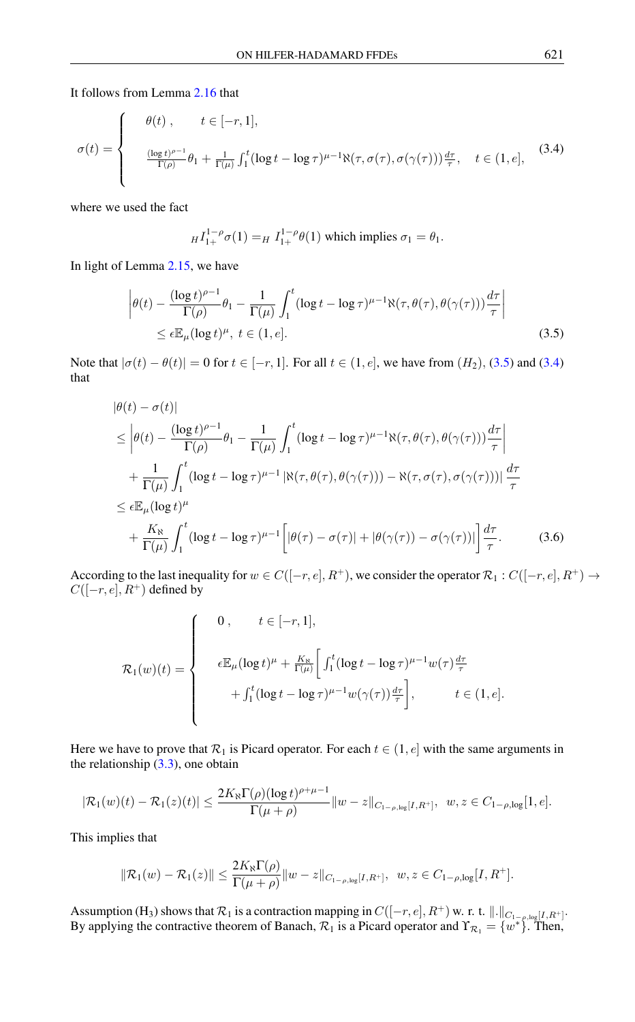It follows from Lemma [2.16](#page-4-1) that

$$
\sigma(t) = \begin{cases}\n\theta(t), & t \in [-r, 1], \\
\frac{(\log t)^{\rho - 1}}{\Gamma(\rho)} \theta_1 + \frac{1}{\Gamma(\mu)} \int_1^t (\log t - \log \tau)^{\mu - 1} \aleph(\tau, \sigma(\tau), \sigma(\gamma(\tau))) \frac{d\tau}{\tau}, & t \in (1, e],\n\end{cases}
$$
\n(3.4)

where we used the fact

<span id="page-7-1"></span><span id="page-7-0"></span>
$$
H I_{1+}^{1-\rho} \sigma(1) = H I_{1+}^{1-\rho} \theta(1)
$$
 which implies  $\sigma_1 = \theta_1$ .

In light of Lemma [2.15,](#page-4-2) we have

$$
\left| \theta(t) - \frac{(\log t)^{\rho - 1}}{\Gamma(\rho)} \theta_1 - \frac{1}{\Gamma(\mu)} \int_1^t (\log t - \log \tau)^{\mu - 1} \aleph(\tau, \theta(\tau), \theta(\gamma(\tau))) \frac{d\tau}{\tau} \right|
$$
  
 
$$
\leq \epsilon \mathbb{E}_{\mu} (\log t)^{\mu}, \ t \in (1, e]. \tag{3.5}
$$

Note that  $|\sigma(t) - \theta(t)| = 0$  for  $t \in [-r, 1]$ . For all  $t \in (1, e]$ , we have from  $(H_2)$ ,  $(3.5)$  and  $(3.4)$ that

$$
\begin{split}\n|\theta(t) - \sigma(t)| \\
&\leq \left| \theta(t) - \frac{(\log t)^{\rho - 1}}{\Gamma(\rho)} \theta_1 - \frac{1}{\Gamma(\mu)} \int_1^t (\log t - \log \tau)^{\mu - 1} \aleph(\tau, \theta(\tau), \theta(\gamma(\tau))) \frac{d\tau}{\tau} \right| \\
&+ \frac{1}{\Gamma(\mu)} \int_1^t (\log t - \log \tau)^{\mu - 1} |\aleph(\tau, \theta(\tau), \theta(\gamma(\tau))) - \aleph(\tau, \sigma(\tau), \sigma(\gamma(\tau)))| \frac{d\tau}{\tau} \\
&\leq \epsilon \mathbb{E}_{\mu} (\log t)^{\mu} \\
&+ \frac{K_{\aleph}}{\Gamma(\mu)} \int_1^t (\log t - \log \tau)^{\mu - 1} \left[ |\theta(\tau) - \sigma(\tau)| + |\theta(\gamma(\tau)) - \sigma(\gamma(\tau))| \right] \frac{d\tau}{\tau}.\n\end{split} \tag{3.6}
$$

According to the last inequality for  $w \in C([-r, e], R^+)$ , we consider the operator  $\mathcal{R}_1 : C([-r, e], R^+) \to$  $C([-r, e], R^+)$  defined by

<span id="page-7-2"></span>
$$
\mathcal{R}_1(w)(t) = \begin{cases}\n0, & t \in [-r, 1], \\
\epsilon \mathbb{E}_{\mu}(\log t)^{\mu} + \frac{K_{\aleph}}{\Gamma(\mu)} \left[ \int_1^t (\log t - \log \tau)^{\mu-1} w(\tau) \frac{d\tau}{\tau} + \int_1^t (\log t - \log \tau)^{\mu-1} w(\gamma(\tau)) \frac{d\tau}{\tau} \right], & t \in (1, e].\n\end{cases}
$$

Here we have to prove that  $\mathcal{R}_1$  is Picard operator. For each  $t \in (1, e]$  with the same arguments in the relationship [\(3.3\)](#page-6-0), one obtain

$$
|\mathcal{R}_1(w)(t) - \mathcal{R}_1(z)(t)| \le \frac{2K_{\aleph} \Gamma(\rho) (\log t)^{\rho+\mu-1}}{\Gamma(\mu+\rho)} \|w-z\|_{C_{1-\rho,\log}[I,R^+]}, \ \ w, z \in C_{1-\rho,\log}[1,e].
$$

This implies that

$$
\|\mathcal{R}_1(w) - \mathcal{R}_1(z)\| \le \frac{2K_{\aleph} \Gamma(\rho)}{\Gamma(\mu + \rho)} \|w - z\|_{C_{1-\rho,\log}[I,R^+]}, \ \ w, z \in C_{1-\rho,\log}[I,R^+].
$$

Assumption (H<sub>3</sub>) shows that  $\mathcal{R}_1$  is a contraction mapping in  $C([-r, e], R^+)$  w. r. t.  $\|.\|_{C_{1-p,log}[I, R^+]}$ . By applying the contractive theorem of Banach,  $\mathcal{R}_1$  is a Picard operator and  $\Upsilon_{\mathcal{R}_1} = \{w^*\}$ . Then,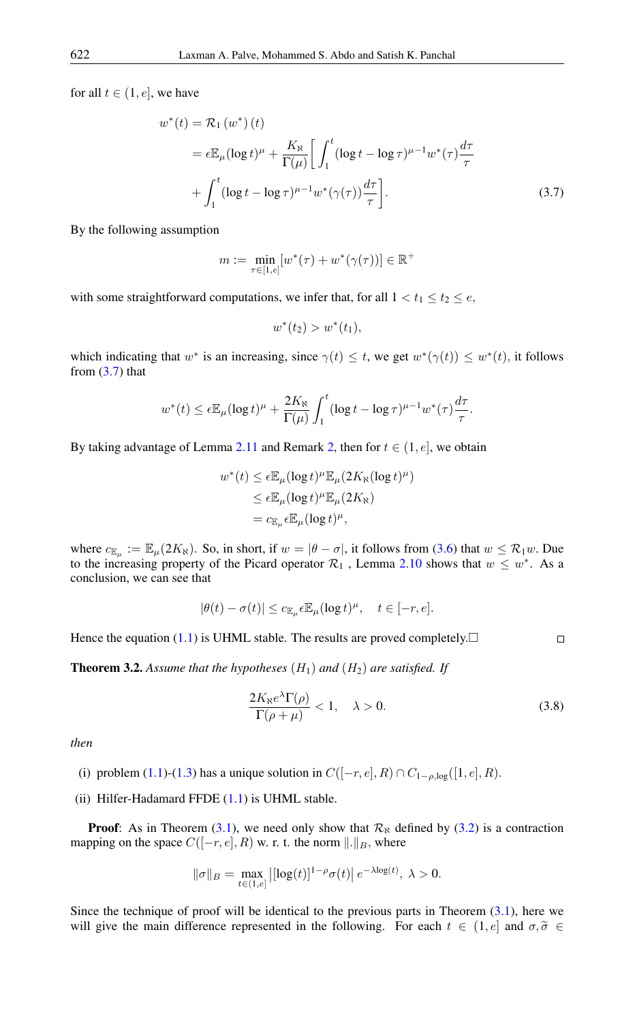for all  $t \in (1, e]$ , we have

$$
w^*(t) = \mathcal{R}_1(w^*)(t)
$$
  
\n
$$
= \epsilon \mathbb{E}_{\mu} (\log t)^{\mu} + \frac{K_{\aleph}}{\Gamma(\mu)} \bigg[ \int_1^t (\log t - \log \tau)^{\mu-1} w^*(\tau) \frac{d\tau}{\tau} + \int_1^t (\log t - \log \tau)^{\mu-1} w^*(\gamma(\tau)) \frac{d\tau}{\tau} \bigg].
$$
\n(3.7)

By the following assumption

$$
m := \min_{\tau \in [1, e]} [w^*(\tau) + w^*(\gamma(\tau))] \in \mathbb{R}^+
$$

with some straightforward computations, we infer that, for all  $1 < t_1 \le t_2 \le e$ ,

<span id="page-8-0"></span>
$$
w^*(t_2) > w^*(t_1),
$$

which indicating that  $w^*$  is an increasing, since  $\gamma(t) \leq t$ , we get  $w^*(\gamma(t)) \leq w^*(t)$ , it follows from  $(3.7)$  that

$$
w^*(t) \le \epsilon \mathbb{E}_{\mu} (\log t)^{\mu} + \frac{2K_{\aleph}}{\Gamma(\mu)} \int_1^t (\log t - \log \tau)^{\mu-1} w^*(\tau) \frac{d\tau}{\tau}.
$$

By taking advantage of Lemma [2.11](#page-3-4) and Remark [2,](#page-3-4) then for  $t \in (1, e]$ , we obtain

$$
w^*(t) \le \epsilon \mathbb{E}_{\mu}(\log t)^{\mu} \mathbb{E}_{\mu}(2K_{\aleph}(\log t)^{\mu})
$$
  

$$
\le \epsilon \mathbb{E}_{\mu}(\log t)^{\mu} \mathbb{E}_{\mu}(2K_{\aleph})
$$
  

$$
= c_{\mathbb{E}_{\mu}} \epsilon \mathbb{E}_{\mu}(\log t)^{\mu},
$$

where  $c_{\mathbb{E}_{\mu}} := \mathbb{E}_{\mu}(2K_{\aleph})$ . So, in short, if  $w = |\theta - \sigma|$ , it follows from [\(3.6\)](#page-7-2) that  $w \leq \mathcal{R}_1 w$ . Due to the increasing property of the Picard operator  $\mathcal{R}_1$ , Lemma [2.10](#page-3-5) shows that  $w \leq w^*$ . As a conclusion, we can see that

$$
|\theta(t) - \sigma(t)| \leq c_{\mathbb{E}_{\mu}} \epsilon \mathbb{E}_{\mu} (\log t)^{\mu}, \quad t \in [-r, e].
$$

Hence the equation [\(1.1\)](#page-1-0) is UHML stable. The results are proved completely. $\Box$ 

**Theorem 3.2.** Assume that the hypotheses  $(H_1)$  and  $(H_2)$  are satisfied. If

$$
\frac{2K_{\aleph}e^{\lambda}\Gamma(\rho)}{\Gamma(\rho+\mu)} < 1, \quad \lambda > 0. \tag{3.8}
$$

<span id="page-8-1"></span> $\Box$ 

*then*

- (i) problem [\(1.1\)](#page-1-0)-[\(1.3\)](#page-1-0) has a unique solution in  $C([-r, e], R) \cap C_{1-\rho, \log}([1, e], R)$ .
- (ii) Hilfer-Hadamard FFDE [\(1.1\)](#page-1-0) is UHML stable.

**Proof:** As in Theorem [\(3.1\)](#page-5-2), we need only show that  $\mathcal{R}_{\aleph}$  defined by [\(3.2\)](#page-5-1) is a contraction mapping on the space  $C([-r, e], R)$  w. r. t. the norm  $\|.\|_B$ , where

$$
\|\sigma\|_{B} = \max_{t \in (1,e]} \left| [\log(t)]^{1-\rho} \sigma(t) \right| e^{-\lambda \log(t)}, \ \lambda > 0.
$$

Since the technique of proof will be identical to the previous parts in Theorem  $(3.1)$ , here we will give the main difference represented in the following. For each  $t \in (1, e]$  and  $\sigma, \tilde{\sigma} \in$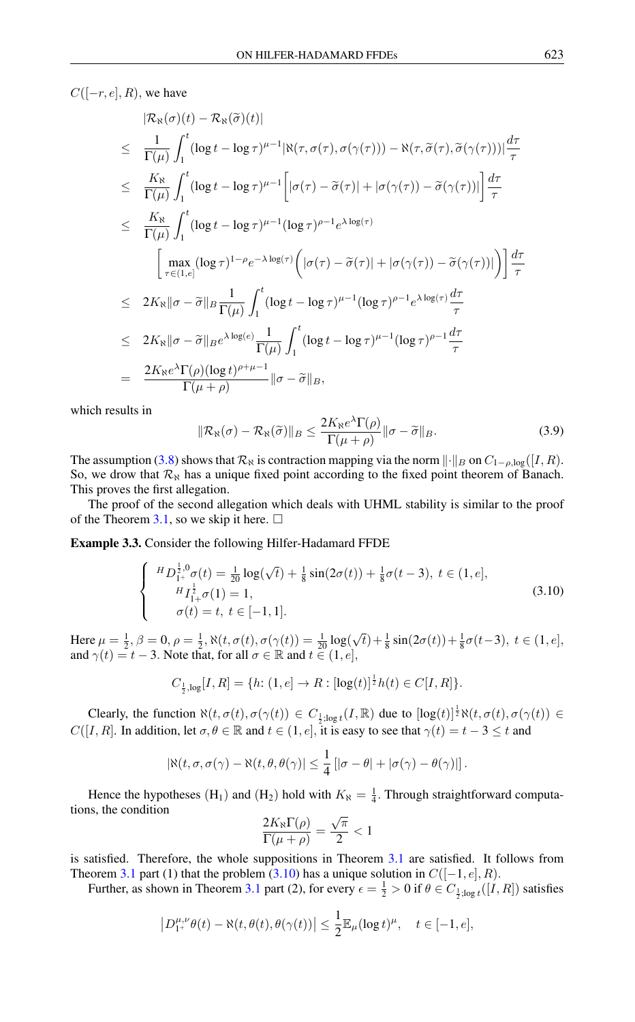$C([-r, e], R)$ , we have

$$
\begin{split}\n&|\mathcal{R}_{\aleph}(\sigma)(t) - \mathcal{R}_{\aleph}(\widetilde{\sigma})(t)| \\
&\leq \frac{1}{\Gamma(\mu)} \int_{1}^{t} (\log t - \log \tau)^{\mu-1} |\aleph(\tau, \sigma(\tau), \sigma(\gamma(\tau))) - \aleph(\tau, \widetilde{\sigma}(\tau), \widetilde{\sigma}(\gamma(\tau)))| \frac{d\tau}{\tau} \\
&\leq \frac{K_{\aleph}}{\Gamma(\mu)} \int_{1}^{t} (\log t - \log \tau)^{\mu-1} \left[ |\sigma(\tau) - \widetilde{\sigma}(\tau)| + |\sigma(\gamma(\tau)) - \widetilde{\sigma}(\gamma(\tau))| \right] \frac{d\tau}{\tau} \\
&\leq \frac{K_{\aleph}}{\Gamma(\mu)} \int_{1}^{t} (\log t - \log \tau)^{\mu-1} (\log \tau)^{\rho-1} e^{\lambda \log(\tau)} \\
&\quad \left[ \max_{\tau \in (1, e]} (\log \tau)^{1-\rho} e^{-\lambda \log(\tau)} \left( |\sigma(\tau) - \widetilde{\sigma}(\tau)| + |\sigma(\gamma(\tau)) - \widetilde{\sigma}(\gamma(\tau))| \right) \right] \frac{d\tau}{\tau} \\
&\leq 2K_{\aleph} \|\sigma - \widetilde{\sigma}\|_{B} \frac{1}{\Gamma(\mu)} \int_{1}^{t} (\log t - \log \tau)^{\mu-1} (\log \tau)^{\rho-1} e^{\lambda \log(\tau)} \frac{d\tau}{\tau} \\
&\leq 2K_{\aleph} \|\sigma - \widetilde{\sigma}\|_{B} e^{\lambda \log(e)} \frac{1}{\Gamma(\mu)} \int_{1}^{t} (\log t - \log \tau)^{\mu-1} (\log \tau)^{\rho-1} \frac{d\tau}{\tau} \\
&= \frac{2K_{\aleph} e^{\lambda} \Gamma(\rho) (\log t)^{\rho+\mu-1}}{\Gamma(\mu+\rho)} \|\sigma - \widetilde{\sigma}\|_{B},\n\end{split}
$$

which results in

<span id="page-9-0"></span>
$$
\|\mathcal{R}_{\aleph}(\sigma) - \mathcal{R}_{\aleph}(\widetilde{\sigma})\|_{B} \le \frac{2K_{\aleph}e^{\lambda}\Gamma(\rho)}{\Gamma(\mu+\rho)}\|\sigma - \widetilde{\sigma}\|_{B}.
$$
 (3.9)

The assumption [\(3.8\)](#page-8-1) shows that  $\mathcal{R}_{\aleph}$  is contraction mapping via the norm  $\|\cdot\|_B$  on  $C_{1-\rho,\log}([I,R])$ . So, we drow that  $\mathcal{R}_{\aleph}$  has a unique fixed point according to the fixed point theorem of Banach. This proves the first allegation.

The proof of the second allegation which deals with UHML stability is similar to the proof of the Theorem [3.1,](#page-5-2) so we skip it here.  $\Box$ 

Example 3.3. Consider the following Hilfer-Hadamard FFDE

$$
\begin{cases}\nH_{D_{1+}^{\frac{1}{2},0}\sigma}(t) = \frac{1}{20}\log(\sqrt{t}) + \frac{1}{8}\sin(2\sigma(t)) + \frac{1}{8}\sigma(t-3), \ t \in (1, e], \\
H_{I_{1+}^{\frac{1}{2}}\sigma}(1) = 1, \\
\sigma(t) = t, \ t \in [-1, 1].\n\end{cases} \tag{3.10}
$$

Here  $\mu = \frac{1}{2}, \beta = 0, \rho = \frac{1}{2}, \aleph(t, \sigma(t), \sigma(\gamma(t)) = \frac{1}{20} \log(\sqrt{t}) + \frac{1}{8} \sin(2\sigma(t)) + \frac{1}{8} \sigma(t-3), t \in (1, e],$ and  $\gamma(t) = t - 3$ . Note that, for all  $\sigma \in \mathbb{R}$  and  $t \in (1, e]$ ,

$$
C_{\frac{1}{2},\log}[I,R] = \{h: (1,e] \to R: [\log(t)]^{\frac{1}{2}}h(t) \in C[I,R]\}.
$$

Clearly, the function  $\aleph(t, \sigma(t), \sigma(\gamma(t))) \in C_{\frac{1}{2}, \log t}(I, \mathbb{R})$  due to  $[\log(t)]^{\frac{1}{2}} \aleph(t, \sigma(t), \sigma(\gamma(t)) \in C_{\frac{1}{2}, \log t}(I, \mathbb{R})$  $C([I, R])$ . In addition, let  $\sigma, \theta \in \mathbb{R}$  and  $t \in (1, e]$ , it is easy to see that  $\gamma(t) = t - 3 \le t$  and

$$
|\aleph(t,\sigma,\sigma(\gamma)-\aleph(t,\theta,\theta(\gamma))\leq \frac{1}{4} [|\sigma-\theta|+|\sigma(\gamma)-\theta(\gamma)|].
$$

Hence the hypotheses (H<sub>1</sub>) and (H<sub>2</sub>) hold with  $K_{\aleph} = \frac{1}{4}$ . Through straightforward computations, the condition √

$$
\frac{2K_{\aleph}\Gamma(\rho)}{\Gamma(\mu+\rho)} = \frac{\sqrt{\pi}}{2} < 1
$$

is satisfied. Therefore, the whole suppositions in Theorem  $3.1$  are satisfied. It follows from Theorem [3.1](#page-5-2) part (1) that the problem [\(3.10\)](#page-9-0) has a unique solution in  $C([-1, e], R)$ .

Further, as shown in Theorem [3.1](#page-5-2) part (2), for every  $\epsilon = \frac{1}{2} > 0$  if  $\theta \in C_{\frac{1}{2}$ ;log  $t([I, R])$  satisfies

$$
\left|D_{1^+}^{\mu,\nu}\theta(t) - \aleph(t,\theta(t),\theta(\gamma(t))\right| \leq \frac{1}{2}\mathbb{E}_{\mu}(\log t)^{\mu}, \quad t \in [-1,e],
$$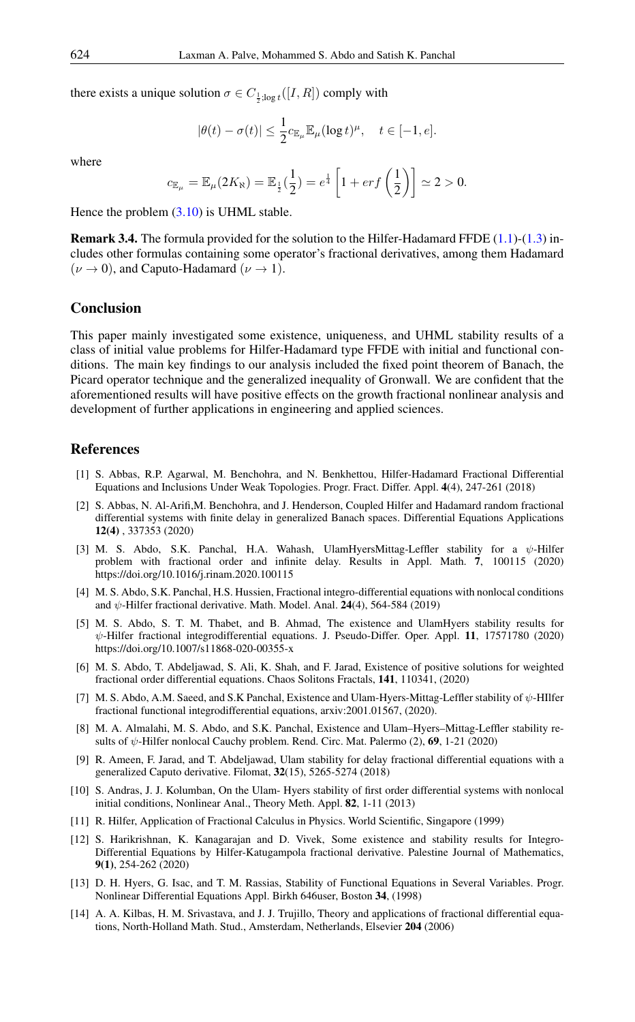there exists a unique solution  $\sigma \in C_{\frac{1}{2}; \log t}([I, R])$  comply with

$$
|\theta(t) - \sigma(t)| \le \frac{1}{2} c_{\mathbb{E}_{\mu}} \mathbb{E}_{\mu} (\log t)^{\mu}, \quad t \in [-1, e].
$$

where

$$
c_{\mathbb{E}_{\mu}} = \mathbb{E}_{\mu}(2K_{\aleph}) = \mathbb{E}_{\frac{1}{2}}(\frac{1}{2}) = e^{\frac{1}{4}} \left[ 1 + erf\left(\frac{1}{2}\right) \right] \simeq 2 > 0.
$$

Hence the problem [\(3.10\)](#page-9-0) is UHML stable.

Remark 3.4. The formula provided for the solution to the Hilfer-Hadamard FFDE [\(1.1\)](#page-1-0)-[\(1.3\)](#page-1-0) includes other formulas containing some operator's fractional derivatives, among them Hadamard  $(\nu \rightarrow 0)$ , and Caputo-Hadamard  $(\nu \rightarrow 1)$ .

#### Conclusion

This paper mainly investigated some existence, uniqueness, and UHML stability results of a class of initial value problems for Hilfer-Hadamard type FFDE with initial and functional conditions. The main key findings to our analysis included the fixed point theorem of Banach, the Picard operator technique and the generalized inequality of Gronwall. We are confident that the aforementioned results will have positive effects on the growth fractional nonlinear analysis and development of further applications in engineering and applied sciences.

#### <span id="page-10-0"></span>References

- <span id="page-10-13"></span>[1] S. Abbas, R.P. Agarwal, M. Benchohra, and N. Benkhettou, Hilfer-Hadamard Fractional Differential Equations and Inclusions Under Weak Topologies. Progr. Fract. Differ. Appl. 4(4), 247-261 (2018)
- <span id="page-10-4"></span>[2] S. Abbas, N. Al-Arifi,M. Benchohra, and J. Henderson, Coupled Hilfer and Hadamard random fractional differential systems with finite delay in generalized Banach spaces. Differential Equations Applications 12(4) , 337353 (2020)
- <span id="page-10-9"></span>[3] M. S. Abdo, S.K. Panchal, H.A. Wahash, UlamHyersMittag-Leffler stability for a ψ-Hilfer problem with fractional order and infinite delay. Results in Appl. Math. 7, 100115 (2020) https://doi.org/10.1016/j.rinam.2020.100115
- <span id="page-10-5"></span>[4] M. S. Abdo, S.K. Panchal, H.S. Hussien, Fractional integro-differential equations with nonlocal conditions and  $\psi$ -Hilfer fractional derivative. Math. Model. Anal. 24(4), 564-584 (2019)
- <span id="page-10-6"></span>[5] M. S. Abdo, S. T. M. Thabet, and B. Ahmad, The existence and UlamHyers stability results for ψ-Hilfer fractional integrodifferential equations. J. Pseudo-Differ. Oper. Appl. 11, 17571780 (2020) https://doi.org/10.1007/s11868-020-00355-x
- <span id="page-10-7"></span>[6] M. S. Abdo, T. Abdeljawad, S. Ali, K. Shah, and F. Jarad, Existence of positive solutions for weighted fractional order differential equations. Chaos Solitons Fractals, 141, 110341, (2020)
- <span id="page-10-11"></span>[7] M. S. Abdo, A.M. Saeed, and S.K Panchal, Existence and Ulam-Hyers-Mittag-Leffler stability of ψ-HIlfer fractional functional integrodifferential equations, arxiv:2001.01567, (2020).
- <span id="page-10-12"></span>[8] M. A. Almalahi, M. S. Abdo, and S.K. Panchal, Existence and Ulam–Hyers–Mittag-Leffler stability results of  $\psi$ -Hilfer nonlocal Cauchy problem. Rend. Circ. Mat. Palermo (2), 69, 1-21 (2020)
- <span id="page-10-10"></span>[9] R. Ameen, F. Jarad, and T. Abdeljawad, Ulam stability for delay fractional differential equations with a generalized Caputo derivative. Filomat, 32(15), 5265-5274 (2018)
- [10] S. Andras, J. J. Kolumban, On the Ulam- Hyers stability of first order differential systems with nonlocal initial conditions, Nonlinear Anal., Theory Meth. Appl. 82, 1-11 (2013)
- <span id="page-10-1"></span>[11] R. Hilfer, Application of Fractional Calculus in Physics. World Scientific, Singapore (1999)
- <span id="page-10-8"></span>[12] S. Harikrishnan, K. Kanagarajan and D. Vivek, Some existence and stability results for Integro-Differential Equations by Hilfer-Katugampola fractional derivative. Palestine Journal of Mathematics, 9(1), 254-262 (2020)
- <span id="page-10-3"></span>[13] D. H. Hyers, G. Isac, and T. M. Rassias, Stability of Functional Equations in Several Variables. Progr. Nonlinear Differential Equations Appl. Birkh 646user, Boston 34, (1998)
- <span id="page-10-2"></span>[14] A. A. Kilbas, H. M. Srivastava, and J. J. Trujillo, Theory and applications of fractional differential equations, North-Holland Math. Stud., Amsterdam, Netherlands, Elsevier 204 (2006)